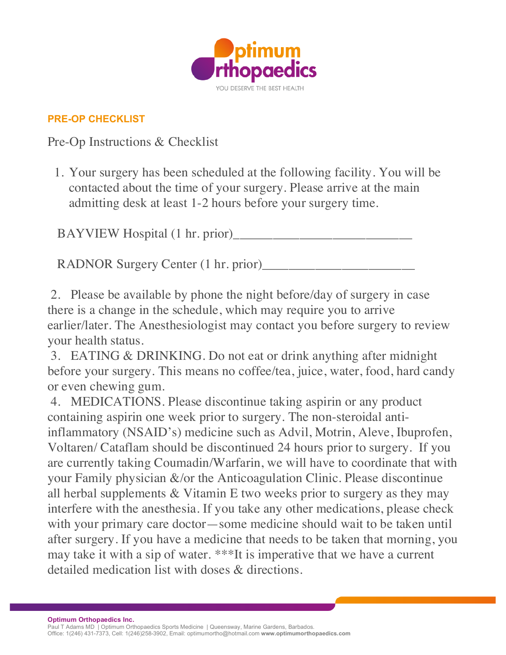

## **PRE-OP CHECKLIST**

Pre-Op Instructions & Checklist

1. Your surgery has been scheduled at the following facility. You will be contacted about the time of your surgery. Please arrive at the main admitting desk at least 1-2 hours before your surgery time.

BAYVIEW Hospital (1 hr. prior)

RADNOR Surgery Center (1 hr. prior)

2. Please be available by phone the night before/day of surgery in case there is a change in the schedule, which may require you to arrive earlier/later. The Anesthesiologist may contact you before surgery to review your health status.

3. EATING & DRINKING. Do not eat or drink anything after midnight before your surgery. This means no coffee/tea, juice, water, food, hard candy or even chewing gum.

4. MEDICATIONS. Please discontinue taking aspirin or any product containing aspirin one week prior to surgery. The non-steroidal antiinflammatory (NSAID's) medicine such as Advil, Motrin, Aleve, Ibuprofen, Voltaren/ Cataflam should be discontinued 24 hours prior to surgery. If you are currently taking Coumadin/Warfarin, we will have to coordinate that with your Family physician &/or the Anticoagulation Clinic. Please discontinue all herbal supplements & Vitamin E two weeks prior to surgery as they may interfere with the anesthesia. If you take any other medications, please check with your primary care doctor—some medicine should wait to be taken until after surgery. If you have a medicine that needs to be taken that morning, you may take it with a sip of water. \*\*\*It is imperative that we have a current detailed medication list with doses & directions.

**Optimum Orthopaedics Inc.**

Paul T Adams MD | Optimum Orthopaedics Sports Medicine | Queensway, Marine Gardens, Barbados. Office: 1(246) 431-7373, Cell: 1(246)258-3902, Email: optimumortho@hotmail.com **www.optimumorthopaedics.com**